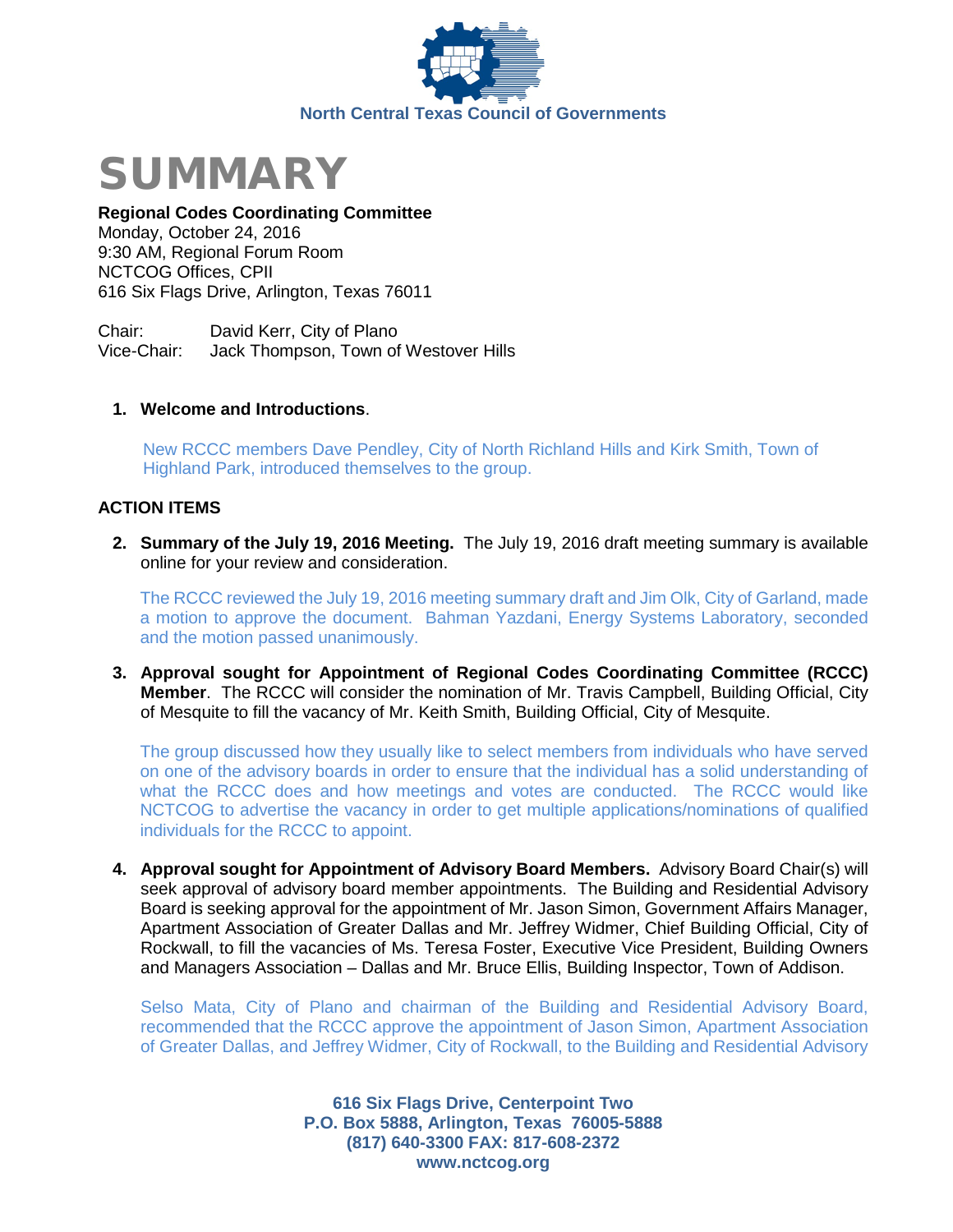



# **Regional Codes Coordinating Committee**

Monday, October 24, 2016 9:30 AM, Regional Forum Room NCTCOG Offices, CPII 616 Six Flags Drive, Arlington, Texas 76011

Chair: David Kerr, City of Plano<br>Vice-Chair: Jack Thompson. Town of Jack Thompson, Town of Westover Hills

# **1. Welcome and Introductions**.

 New RCCC members Dave Pendley, City of North Richland Hills and Kirk Smith, Town of Highland Park, introduced themselves to the group.

# **ACTION ITEMS**

**2. Summary of the July 19, 2016 Meeting.** The July 19, 2016 draft meeting summary is available online for your review and consideration.

The RCCC reviewed the July 19, 2016 meeting summary draft and Jim Olk, City of Garland, made a motion to approve the document. Bahman Yazdani, Energy Systems Laboratory, seconded and the motion passed unanimously.

**3. Approval sought for Appointment of Regional Codes Coordinating Committee (RCCC) Member**. The RCCC will consider the nomination of Mr. Travis Campbell, Building Official, City of Mesquite to fill the vacancy of Mr. Keith Smith, Building Official, City of Mesquite.

The group discussed how they usually like to select members from individuals who have served on one of the advisory boards in order to ensure that the individual has a solid understanding of what the RCCC does and how meetings and votes are conducted. The RCCC would like NCTCOG to advertise the vacancy in order to get multiple applications/nominations of qualified individuals for the RCCC to appoint.

**4. Approval sought for Appointment of Advisory Board Members.** Advisory Board Chair(s) will seek approval of advisory board member appointments. The Building and Residential Advisory Board is seeking approval for the appointment of Mr. Jason Simon, Government Affairs Manager, Apartment Association of Greater Dallas and Mr. Jeffrey Widmer, Chief Building Official, City of Rockwall, to fill the vacancies of Ms. Teresa Foster, Executive Vice President, Building Owners and Managers Association – Dallas and Mr. Bruce Ellis, Building Inspector, Town of Addison.

Selso Mata, City of Plano and chairman of the Building and Residential Advisory Board, recommended that the RCCC approve the appointment of Jason Simon, Apartment Association of Greater Dallas, and Jeffrey Widmer, City of Rockwall, to the Building and Residential Advisory

> **616 Six Flags Drive, Centerpoint Two P.O. Box 5888, Arlington, Texas 76005-5888 (817) 640-3300 FAX: 817-608-2372 www.nctcog.org**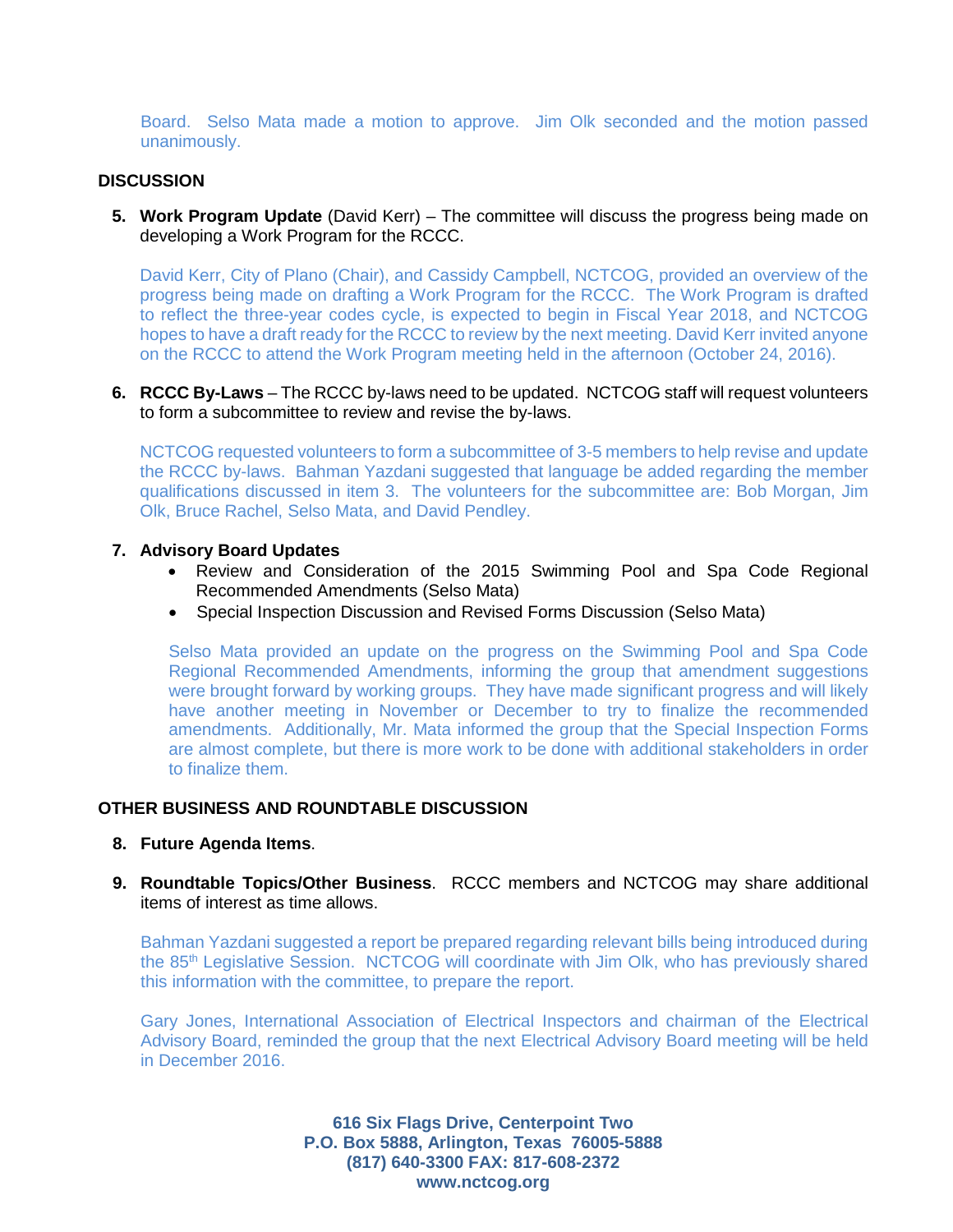Board. Selso Mata made a motion to approve. Jim Olk seconded and the motion passed unanimously.

# **DISCUSSION**

**5. Work Program Update** (David Kerr) – The committee will discuss the progress being made on developing a Work Program for the RCCC.

David Kerr, City of Plano (Chair), and Cassidy Campbell, NCTCOG, provided an overview of the progress being made on drafting a Work Program for the RCCC. The Work Program is drafted to reflect the three-year codes cycle, is expected to begin in Fiscal Year 2018, and NCTCOG hopes to have a draft ready for the RCCC to review by the next meeting. David Kerr invited anyone on the RCCC to attend the Work Program meeting held in the afternoon (October 24, 2016).

**6. RCCC By-Laws** – The RCCC by-laws need to be updated. NCTCOG staff will request volunteers to form a subcommittee to review and revise the by-laws.

NCTCOG requested volunteers to form a subcommittee of 3-5 members to help revise and update the RCCC by-laws. Bahman Yazdani suggested that language be added regarding the member qualifications discussed in item 3. The volunteers for the subcommittee are: Bob Morgan, Jim Olk, Bruce Rachel, Selso Mata, and David Pendley.

#### **7. Advisory Board Updates**

- Review and Consideration of the 2015 Swimming Pool and Spa Code Regional Recommended Amendments (Selso Mata)
- Special Inspection Discussion and Revised Forms Discussion (Selso Mata)

Selso Mata provided an update on the progress on the Swimming Pool and Spa Code Regional Recommended Amendments, informing the group that amendment suggestions were brought forward by working groups. They have made significant progress and will likely have another meeting in November or December to try to finalize the recommended amendments. Additionally, Mr. Mata informed the group that the Special Inspection Forms are almost complete, but there is more work to be done with additional stakeholders in order to finalize them.

### **OTHER BUSINESS AND ROUNDTABLE DISCUSSION**

#### **8. Future Agenda Items**.

**9. Roundtable Topics/Other Business**. RCCC members and NCTCOG may share additional items of interest as time allows.

Bahman Yazdani suggested a report be prepared regarding relevant bills being introduced during the 85<sup>th</sup> Legislative Session. NCTCOG will coordinate with Jim Olk, who has previously shared this information with the committee, to prepare the report.

Gary Jones, International Association of Electrical Inspectors and chairman of the Electrical Advisory Board, reminded the group that the next Electrical Advisory Board meeting will be held in December 2016.

> **616 Six Flags Drive, Centerpoint Two P.O. Box 5888, Arlington, Texas 76005-5888 (817) 640-3300 FAX: 817-608-2372 www.nctcog.org**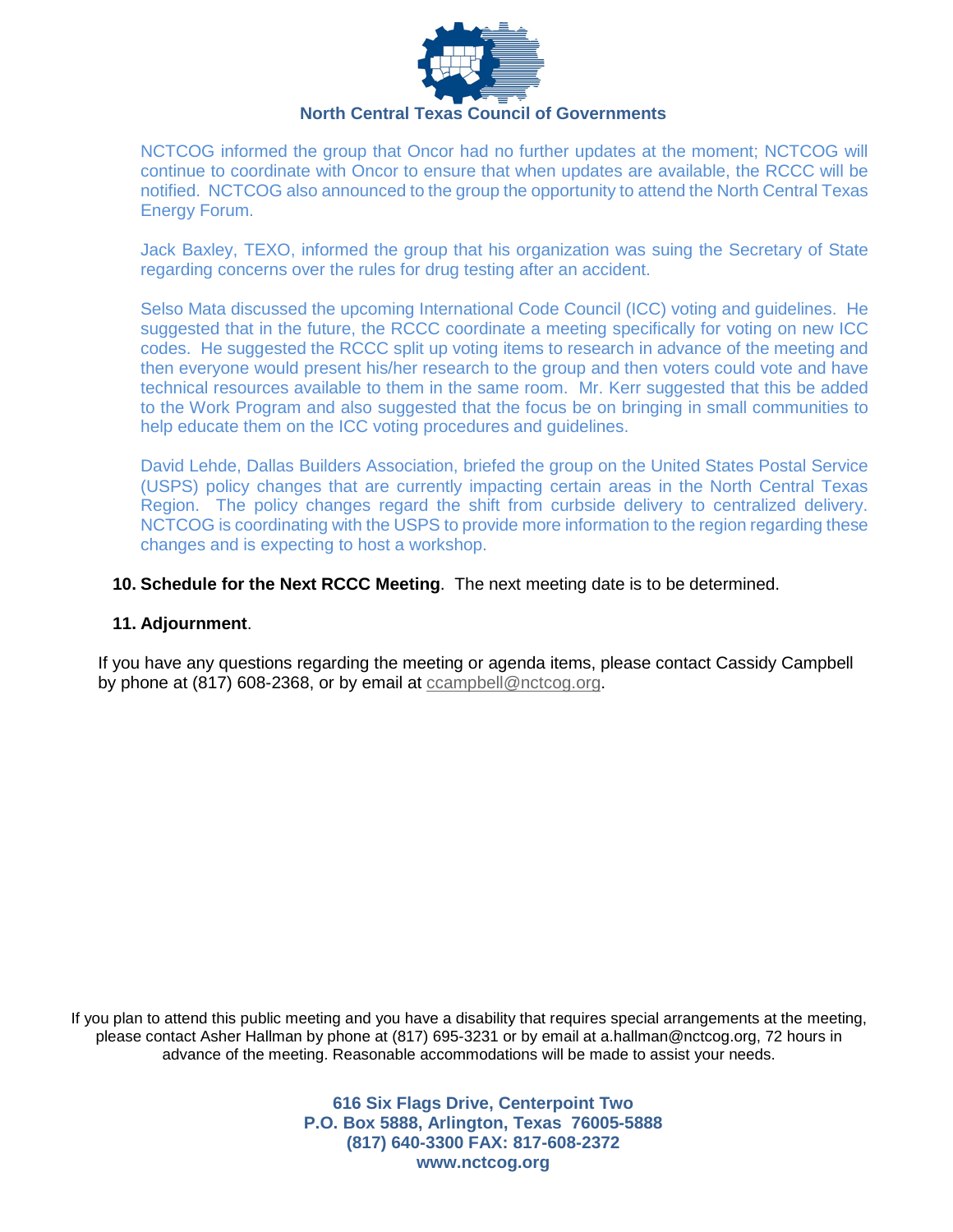

NCTCOG informed the group that Oncor had no further updates at the moment; NCTCOG will continue to coordinate with Oncor to ensure that when updates are available, the RCCC will be notified. NCTCOG also announced to the group the opportunity to attend the North Central Texas Energy Forum.

Jack Baxley, TEXO, informed the group that his organization was suing the Secretary of State regarding concerns over the rules for drug testing after an accident.

Selso Mata discussed the upcoming International Code Council (ICC) voting and guidelines. He suggested that in the future, the RCCC coordinate a meeting specifically for voting on new ICC codes. He suggested the RCCC split up voting items to research in advance of the meeting and then everyone would present his/her research to the group and then voters could vote and have technical resources available to them in the same room. Mr. Kerr suggested that this be added to the Work Program and also suggested that the focus be on bringing in small communities to help educate them on the ICC voting procedures and guidelines.

David Lehde, Dallas Builders Association, briefed the group on the United States Postal Service (USPS) policy changes that are currently impacting certain areas in the North Central Texas Region. The policy changes regard the shift from curbside delivery to centralized delivery. NCTCOG is coordinating with the USPS to provide more information to the region regarding these changes and is expecting to host a workshop.

# **10. Schedule for the Next RCCC Meeting**. The next meeting date is to be determined.

### **11. Adjournment**.

If you have any questions regarding the meeting or agenda items, please contact Cassidy Campbell by phone at (817) 608-2368, or by email at [ccampbell@nctcog.org.](mailto:ccampbell@nctcog.org)

If you plan to attend this public meeting and you have a disability that requires special arrangements at the meeting, please contact Asher Hallman by phone at (817) 695-3231 or by email at a.hallman@nctcog.org, 72 hours in advance of the meeting. Reasonable accommodations will be made to assist your needs.

> **616 Six Flags Drive, Centerpoint Two P.O. Box 5888, Arlington, Texas 76005-5888 (817) 640-3300 FAX: 817-608-2372 www.nctcog.org**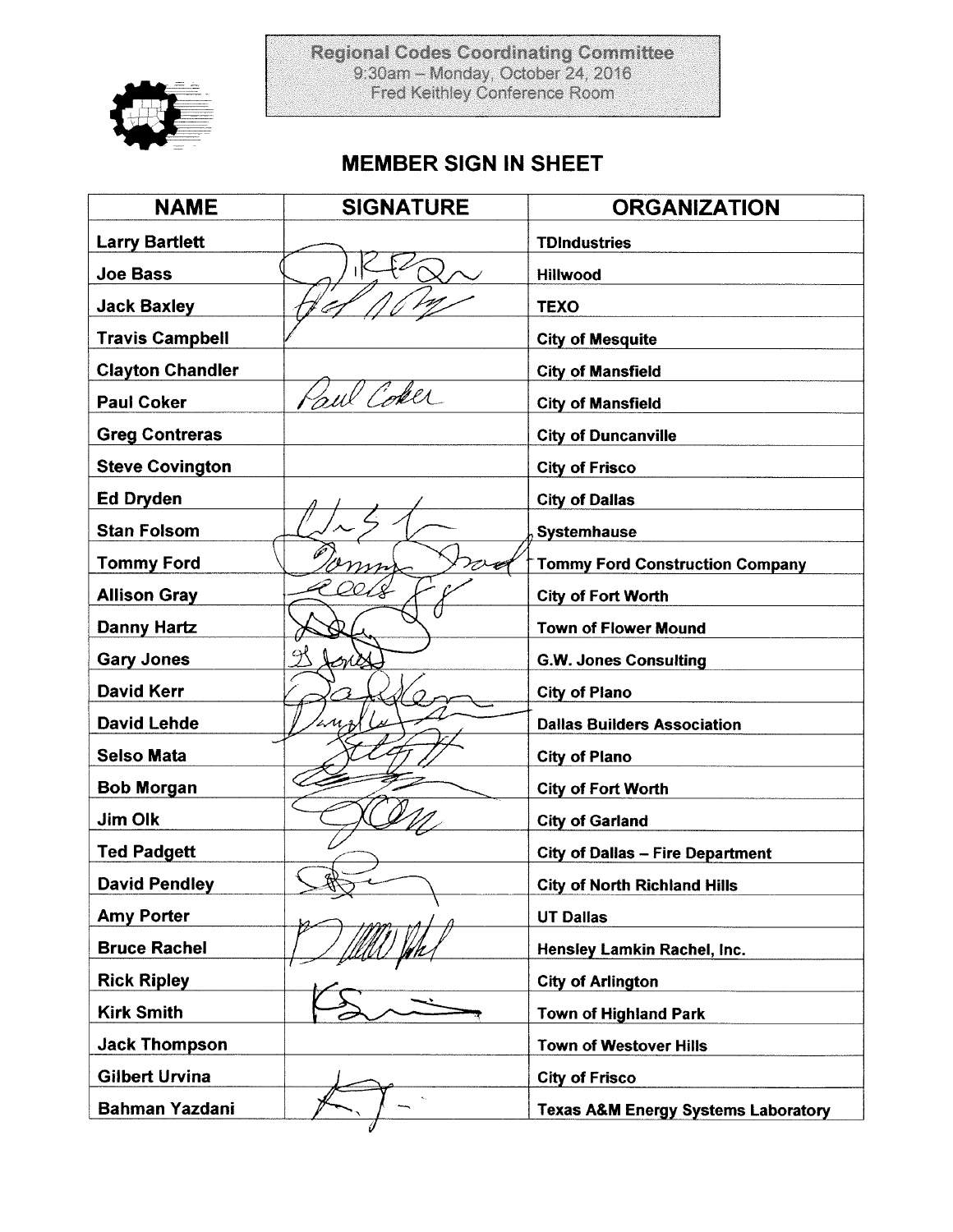Regional Codes Coordinating Committee<br>9:30am – Monday, October 24, 2016<br>Fred Keithley Conference Room



# **MEMBER SIGN IN SHEET**

| <b>NAME</b>             | <b>SIGNATURE</b> | <b>ORGANIZATION</b>                            |
|-------------------------|------------------|------------------------------------------------|
| <b>Larry Bartlett</b>   |                  | <b>TDIndustries</b>                            |
| <b>Joe Bass</b>         |                  | <b>Hillwood</b>                                |
| <b>Jack Baxley</b>      |                  | <b>TEXO</b>                                    |
| <b>Travis Campbell</b>  |                  | <b>City of Mesquite</b>                        |
| <b>Clayton Chandler</b> |                  | <b>City of Mansfield</b>                       |
| <b>Paul Coker</b>       | bul Coker        | <b>City of Mansfield</b>                       |
| <b>Greg Contreras</b>   |                  | <b>City of Duncanville</b>                     |
| <b>Steve Covington</b>  |                  | <b>City of Frisco</b>                          |
| <b>Ed Dryden</b>        |                  | <b>City of Dallas</b>                          |
| <b>Stan Folsom</b>      |                  | Systemhause                                    |
| <b>Tommy Ford</b>       |                  | <b>Tommy Ford Construction Company</b>         |
| <b>Allison Gray</b>     |                  | <b>City of Fort Worth</b>                      |
| <b>Danny Hartz</b>      |                  | <b>Town of Flower Mound</b>                    |
| <b>Gary Jones</b>       |                  | <b>G.W. Jones Consulting</b>                   |
| <b>David Kerr</b>       |                  | <b>City of Plano</b>                           |
| <b>David Lehde</b>      |                  | <b>Dallas Builders Association</b>             |
| <b>Selso Mata</b>       |                  | <b>City of Plano</b>                           |
| <b>Bob Morgan</b>       |                  | <b>City of Fort Worth</b>                      |
| Jim Olk                 |                  | <b>City of Garland</b>                         |
| <b>Ted Padgett</b>      |                  | <b>City of Dallas - Fire Department</b>        |
| <b>David Pendley</b>    |                  | <b>City of North Richland Hills</b>            |
| <b>Amy Porter</b>       |                  | <b>UT Dallas</b>                               |
| <b>Bruce Rachel</b>     |                  | Hensley Lamkin Rachel, Inc.                    |
| <b>Rick Ripley</b>      |                  | <b>City of Arlington</b>                       |
| <b>Kirk Smith</b>       |                  | <b>Town of Highland Park</b>                   |
| <b>Jack Thompson</b>    |                  | Town of Westover Hills                         |
| <b>Gilbert Urvina</b>   |                  | <b>City of Frisco</b>                          |
| <b>Bahman Yazdani</b>   |                  | <b>Texas A&amp;M Energy Systems Laboratory</b> |